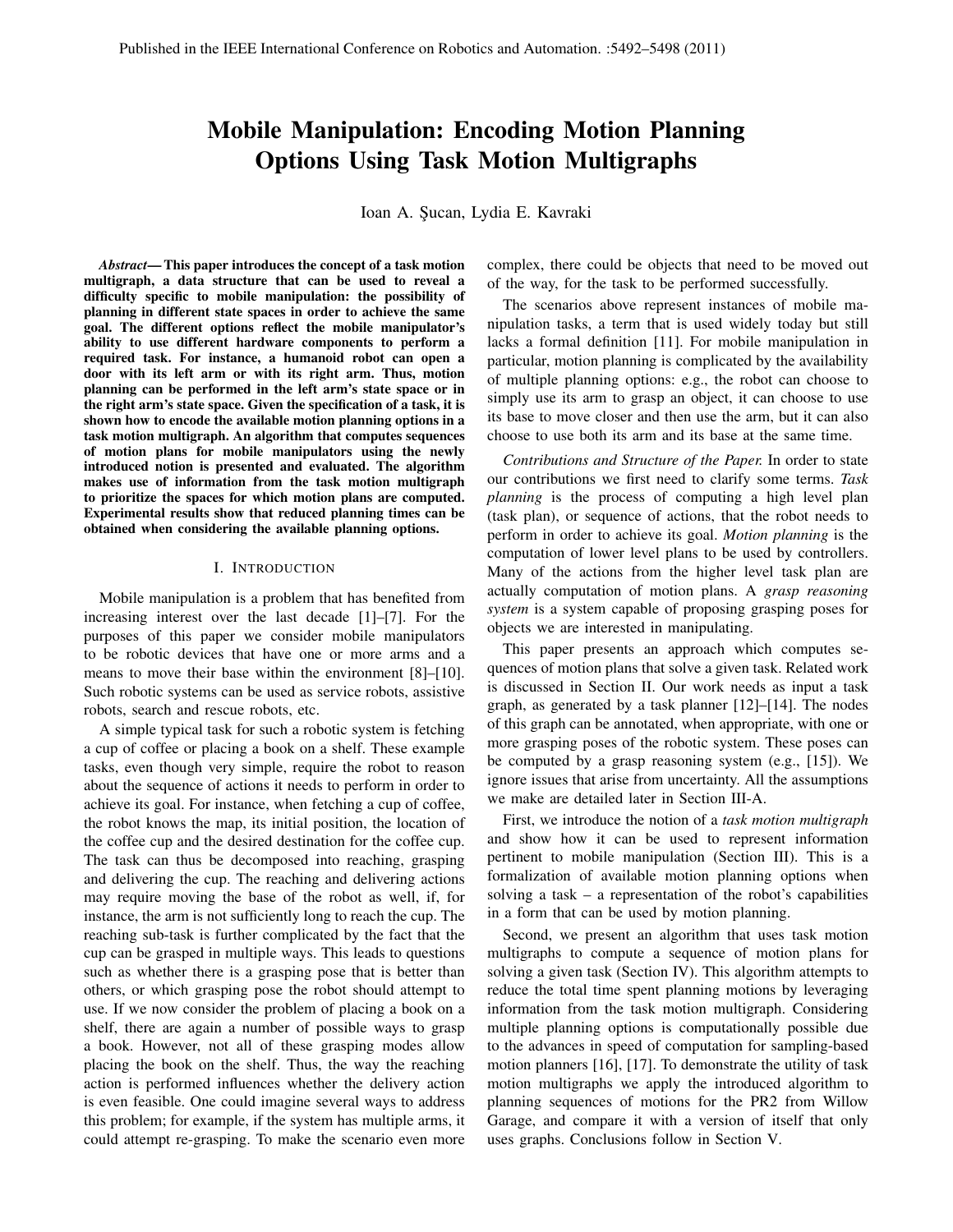# Mobile Manipulation: Encoding Motion Planning Options Using Task Motion Multigraphs

Ioan A. Şucan, Lydia E. Kavraki

*Abstract*— This paper introduces the concept of a task motion multigraph, a data structure that can be used to reveal a difficulty specific to mobile manipulation: the possibility of planning in different state spaces in order to achieve the same goal. The different options reflect the mobile manipulator's ability to use different hardware components to perform a required task. For instance, a humanoid robot can open a door with its left arm or with its right arm. Thus, motion planning can be performed in the left arm's state space or in the right arm's state space. Given the specification of a task, it is shown how to encode the available motion planning options in a task motion multigraph. An algorithm that computes sequences of motion plans for mobile manipulators using the newly introduced notion is presented and evaluated. The algorithm makes use of information from the task motion multigraph to prioritize the spaces for which motion plans are computed. Experimental results show that reduced planning times can be obtained when considering the available planning options.

#### I. INTRODUCTION

Mobile manipulation is a problem that has benefited from increasing interest over the last decade [1]–[7]. For the purposes of this paper we consider mobile manipulators to be robotic devices that have one or more arms and a means to move their base within the environment [8]–[10]. Such robotic systems can be used as service robots, assistive robots, search and rescue robots, etc.

A simple typical task for such a robotic system is fetching a cup of coffee or placing a book on a shelf. These example tasks, even though very simple, require the robot to reason about the sequence of actions it needs to perform in order to achieve its goal. For instance, when fetching a cup of coffee, the robot knows the map, its initial position, the location of the coffee cup and the desired destination for the coffee cup. The task can thus be decomposed into reaching, grasping and delivering the cup. The reaching and delivering actions may require moving the base of the robot as well, if, for instance, the arm is not sufficiently long to reach the cup. The reaching sub-task is further complicated by the fact that the cup can be grasped in multiple ways. This leads to questions such as whether there is a grasping pose that is better than others, or which grasping pose the robot should attempt to use. If we now consider the problem of placing a book on a shelf, there are again a number of possible ways to grasp a book. However, not all of these grasping modes allow placing the book on the shelf. Thus, the way the reaching action is performed influences whether the delivery action is even feasible. One could imagine several ways to address this problem; for example, if the system has multiple arms, it could attempt re-grasping. To make the scenario even more

complex, there could be objects that need to be moved out of the way, for the task to be performed successfully.

The scenarios above represent instances of mobile manipulation tasks, a term that is used widely today but still lacks a formal definition [11]. For mobile manipulation in particular, motion planning is complicated by the availability of multiple planning options: e.g., the robot can choose to simply use its arm to grasp an object, it can choose to use its base to move closer and then use the arm, but it can also choose to use both its arm and its base at the same time.

*Contributions and Structure of the Paper.* In order to state our contributions we first need to clarify some terms. *Task planning* is the process of computing a high level plan (task plan), or sequence of actions, that the robot needs to perform in order to achieve its goal. *Motion planning* is the computation of lower level plans to be used by controllers. Many of the actions from the higher level task plan are actually computation of motion plans. A *grasp reasoning system* is a system capable of proposing grasping poses for objects we are interested in manipulating.

This paper presents an approach which computes sequences of motion plans that solve a given task. Related work is discussed in Section II. Our work needs as input a task graph, as generated by a task planner [12]–[14]. The nodes of this graph can be annotated, when appropriate, with one or more grasping poses of the robotic system. These poses can be computed by a grasp reasoning system (e.g., [15]). We ignore issues that arise from uncertainty. All the assumptions we make are detailed later in Section III-A.

First, we introduce the notion of a *task motion multigraph* and show how it can be used to represent information pertinent to mobile manipulation (Section III). This is a formalization of available motion planning options when solving a task – a representation of the robot's capabilities in a form that can be used by motion planning.

Second, we present an algorithm that uses task motion multigraphs to compute a sequence of motion plans for solving a given task (Section IV). This algorithm attempts to reduce the total time spent planning motions by leveraging information from the task motion multigraph. Considering multiple planning options is computationally possible due to the advances in speed of computation for sampling-based motion planners [16], [17]. To demonstrate the utility of task motion multigraphs we apply the introduced algorithm to planning sequences of motions for the PR2 from Willow Garage, and compare it with a version of itself that only uses graphs. Conclusions follow in Section V.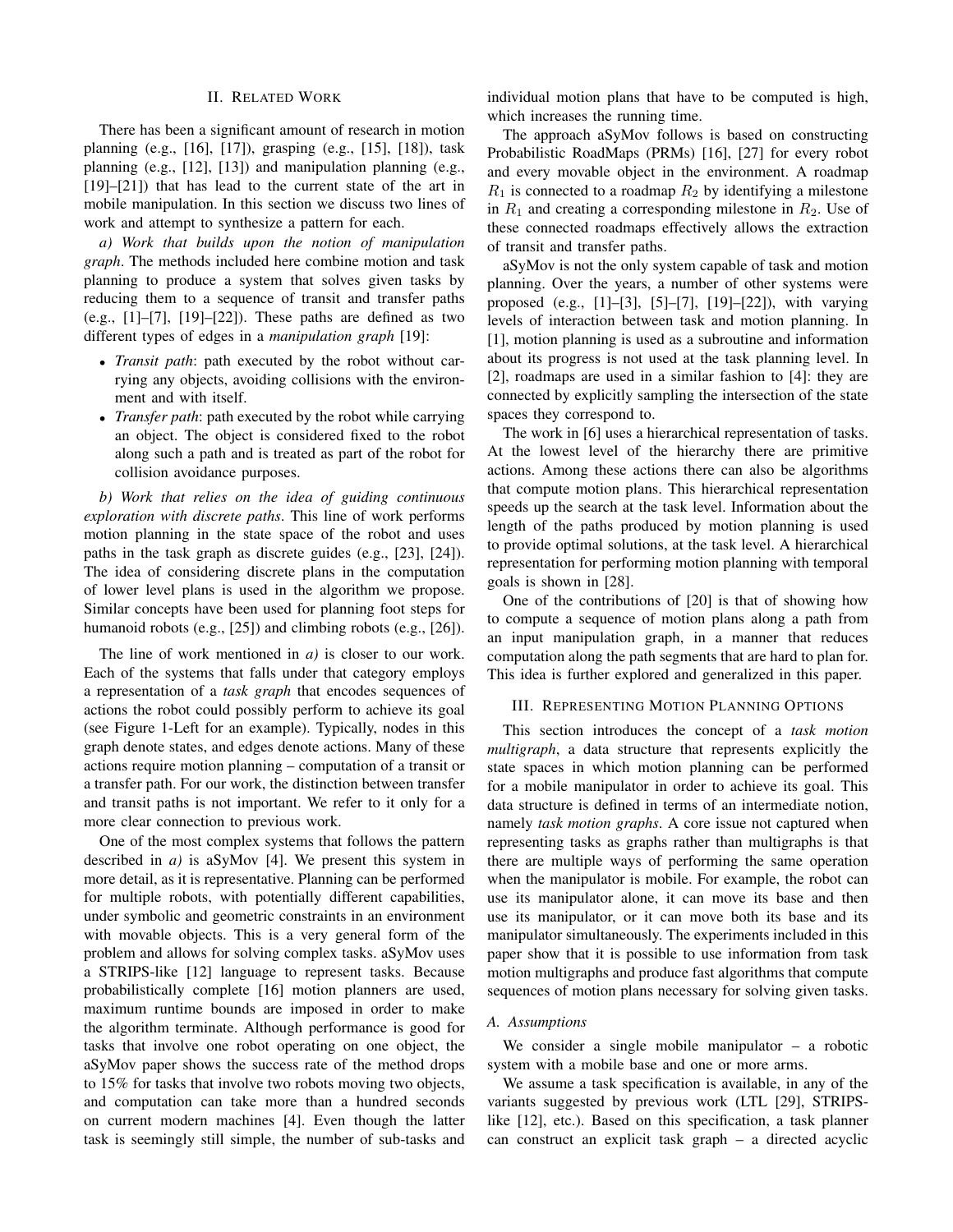#### II. RELATED WORK

There has been a significant amount of research in motion planning (e.g., [16], [17]), grasping (e.g., [15], [18]), task planning (e.g., [12], [13]) and manipulation planning (e.g., [19]–[21]) that has lead to the current state of the art in mobile manipulation. In this section we discuss two lines of work and attempt to synthesize a pattern for each.

*a) Work that builds upon the notion of manipulation graph*. The methods included here combine motion and task planning to produce a system that solves given tasks by reducing them to a sequence of transit and transfer paths (e.g.,  $[1]-[7]$ ,  $[19]-[22]$ ). These paths are defined as two different types of edges in a *manipulation graph* [19]:

- *Transit path*: path executed by the robot without carrying any objects, avoiding collisions with the environment and with itself.
- *Transfer path*: path executed by the robot while carrying an object. The object is considered fixed to the robot along such a path and is treated as part of the robot for collision avoidance purposes.

*b) Work that relies on the idea of guiding continuous exploration with discrete paths*. This line of work performs motion planning in the state space of the robot and uses paths in the task graph as discrete guides (e.g., [23], [24]). The idea of considering discrete plans in the computation of lower level plans is used in the algorithm we propose. Similar concepts have been used for planning foot steps for humanoid robots (e.g., [25]) and climbing robots (e.g., [26]).

The line of work mentioned in *a)* is closer to our work. Each of the systems that falls under that category employs a representation of a *task graph* that encodes sequences of actions the robot could possibly perform to achieve its goal (see Figure 1-Left for an example). Typically, nodes in this graph denote states, and edges denote actions. Many of these actions require motion planning – computation of a transit or a transfer path. For our work, the distinction between transfer and transit paths is not important. We refer to it only for a more clear connection to previous work.

One of the most complex systems that follows the pattern described in *a)* is aSyMov [4]. We present this system in more detail, as it is representative. Planning can be performed for multiple robots, with potentially different capabilities, under symbolic and geometric constraints in an environment with movable objects. This is a very general form of the problem and allows for solving complex tasks. aSyMov uses a STRIPS-like [12] language to represent tasks. Because probabilistically complete [16] motion planners are used, maximum runtime bounds are imposed in order to make the algorithm terminate. Although performance is good for tasks that involve one robot operating on one object, the aSyMov paper shows the success rate of the method drops to 15% for tasks that involve two robots moving two objects, and computation can take more than a hundred seconds on current modern machines [4]. Even though the latter task is seemingly still simple, the number of sub-tasks and

individual motion plans that have to be computed is high, which increases the running time.

The approach aSyMov follows is based on constructing Probabilistic RoadMaps (PRMs) [16], [27] for every robot and every movable object in the environment. A roadmap  $R_1$  is connected to a roadmap  $R_2$  by identifying a milestone in  $R_1$  and creating a corresponding milestone in  $R_2$ . Use of these connected roadmaps effectively allows the extraction of transit and transfer paths.

aSyMov is not the only system capable of task and motion planning. Over the years, a number of other systems were proposed (e.g., [1]–[3], [5]–[7], [19]–[22]), with varying levels of interaction between task and motion planning. In [1], motion planning is used as a subroutine and information about its progress is not used at the task planning level. In [2], roadmaps are used in a similar fashion to [4]: they are connected by explicitly sampling the intersection of the state spaces they correspond to.

The work in [6] uses a hierarchical representation of tasks. At the lowest level of the hierarchy there are primitive actions. Among these actions there can also be algorithms that compute motion plans. This hierarchical representation speeds up the search at the task level. Information about the length of the paths produced by motion planning is used to provide optimal solutions, at the task level. A hierarchical representation for performing motion planning with temporal goals is shown in [28].

One of the contributions of [20] is that of showing how to compute a sequence of motion plans along a path from an input manipulation graph, in a manner that reduces computation along the path segments that are hard to plan for. This idea is further explored and generalized in this paper.

#### III. REPRESENTING MOTION PLANNING OPTIONS

This section introduces the concept of a *task motion multigraph*, a data structure that represents explicitly the state spaces in which motion planning can be performed for a mobile manipulator in order to achieve its goal. This data structure is defined in terms of an intermediate notion, namely *task motion graphs*. A core issue not captured when representing tasks as graphs rather than multigraphs is that there are multiple ways of performing the same operation when the manipulator is mobile. For example, the robot can use its manipulator alone, it can move its base and then use its manipulator, or it can move both its base and its manipulator simultaneously. The experiments included in this paper show that it is possible to use information from task motion multigraphs and produce fast algorithms that compute sequences of motion plans necessary for solving given tasks.

#### *A. Assumptions*

We consider a single mobile manipulator – a robotic system with a mobile base and one or more arms.

We assume a task specification is available, in any of the variants suggested by previous work (LTL [29], STRIPSlike [12], etc.). Based on this specification, a task planner can construct an explicit task graph – a directed acyclic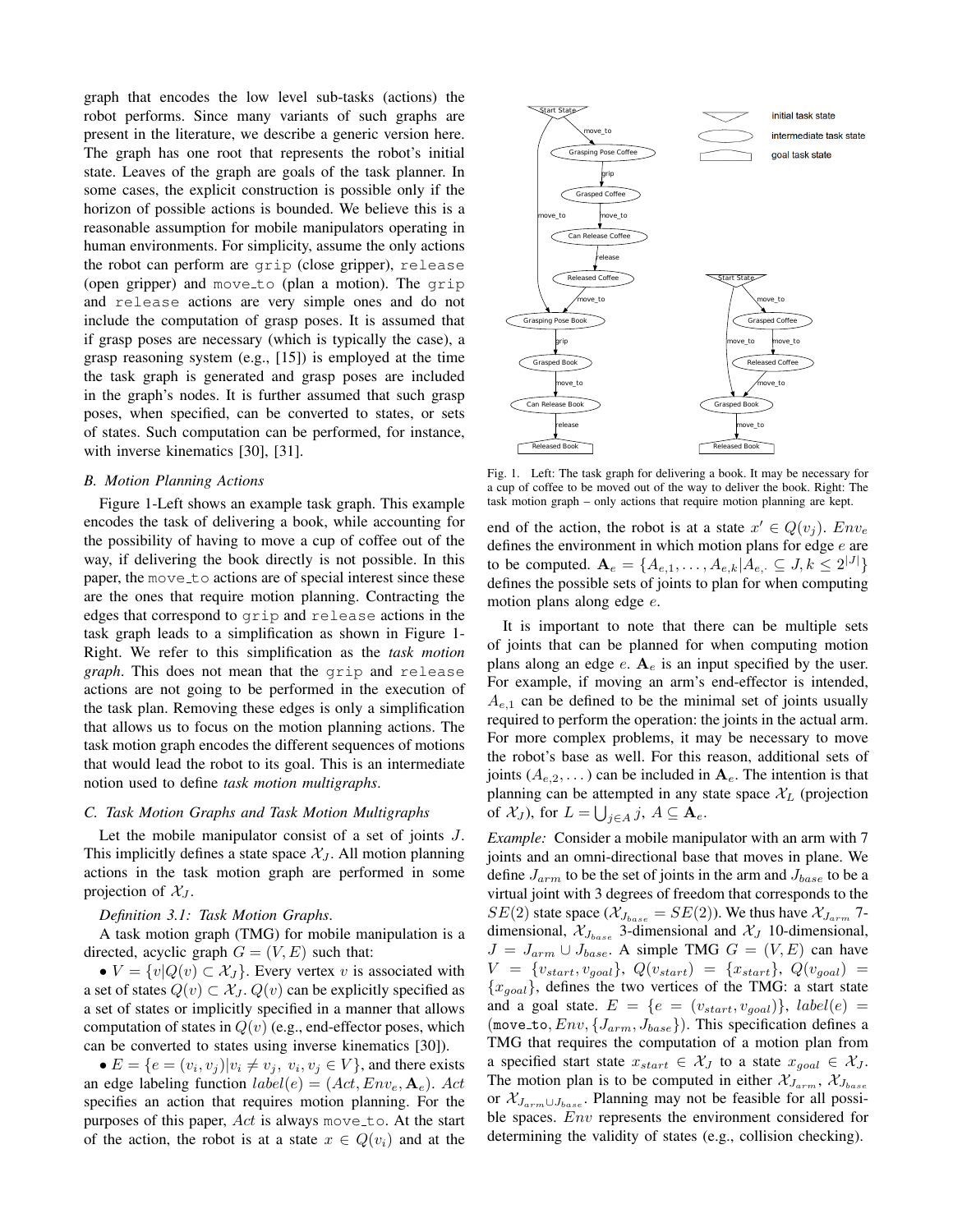graph that encodes the low level sub-tasks (actions) the robot performs. Since many variants of such graphs are present in the literature, we describe a generic version here. The graph has one root that represents the robot's initial state. Leaves of the graph are goals of the task planner. In some cases, the explicit construction is possible only if the horizon of possible actions is bounded. We believe this is a reasonable assumption for mobile manipulators operating in human environments. For simplicity, assume the only actions the robot can perform are grip (close gripper), release (open gripper) and move to (plan a motion). The grip and release actions are very simple ones and do not include the computation of grasp poses. It is assumed that if grasp poses are necessary (which is typically the case), a grasp reasoning system (e.g., [15]) is employed at the time the task graph is generated and grasp poses are included in the graph's nodes. It is further assumed that such grasp poses, when specified, can be converted to states, or sets of states. Such computation can be performed, for instance, with inverse kinematics [30], [31].

### *B. Motion Planning Actions*

Figure 1-Left shows an example task graph. This example encodes the task of delivering a book, while accounting for the possibility of having to move a cup of coffee out of the way, if delivering the book directly is not possible. In this paper, the move to actions are of special interest since these are the ones that require motion planning. Contracting the edges that correspond to grip and release actions in the task graph leads to a simplification as shown in Figure 1- Right. We refer to this simplification as the *task motion graph*. This does not mean that the grip and release actions are not going to be performed in the execution of the task plan. Removing these edges is only a simplification that allows us to focus on the motion planning actions. The task motion graph encodes the different sequences of motions that would lead the robot to its goal. This is an intermediate notion used to define *task motion multigraphs*.

## *C. Task Motion Graphs and Task Motion Multigraphs*

Let the mobile manipulator consist of a set of joints J. This implicitly defines a state space  $\mathcal{X}_J$ . All motion planning actions in the task motion graph are performed in some projection of  $\mathcal{X}_J$ .

#### *Definition 3.1: Task Motion Graphs*.

A task motion graph (TMG) for mobile manipulation is a directed, acyclic graph  $G = (V, E)$  such that:

•  $V = \{v | Q(v) \subset \mathcal{X}_J\}$ . Every vertex v is associated with a set of states  $Q(v) \subset \mathcal{X}_J$ .  $Q(v)$  can be explicitly specified as a set of states or implicitly specified in a manner that allows computation of states in  $Q(v)$  (e.g., end-effector poses, which can be converted to states using inverse kinematics [30]).

•  $E = \{e = (v_i, v_j)|v_i \neq v_j, v_i, v_j \in V\}$ , and there exists an edge labeling function  $label(e) = (Act, Env_e, \mathbf{A}_e)$ . Act specifies an action that requires motion planning. For the purposes of this paper,  $Act$  is always move to. At the start of the action, the robot is at a state  $x \in Q(v_i)$  and at the



Fig. 1. Left: The task graph for delivering a book. It may be necessary for a cup of coffee to be moved out of the way to deliver the book. Right: The task motion graph – only actions that require motion planning are kept.

end of the action, the robot is at a state  $x' \in Q(v_j)$ .  $Env_e$ defines the environment in which motion plans for edge e are to be computed.  $A_e = \{A_{e,1}, \dots, A_{e,k} | A_{e,\cdot} \subseteq J, k \leq 2^{|J|}\}\$ defines the possible sets of joints to plan for when computing motion plans along edge e.

It is important to note that there can be multiple sets of joints that can be planned for when computing motion plans along an edge  $e$ .  $A_e$  is an input specified by the user. For example, if moving an arm's end-effector is intended,  $A_{e,1}$  can be defined to be the minimal set of joints usually required to perform the operation: the joints in the actual arm. For more complex problems, it may be necessary to move the robot's base as well. For this reason, additional sets of joints  $(A_{e,2}, \ldots)$  can be included in  $A_e$ . The intention is that planning can be attempted in any state space  $X_L$  (projection of  $\mathcal{X}_J$ ), for  $L = \bigcup_{j \in A} j$ ,  $A \subseteq \mathbf{A}_e$ .

*Example:* Consider a mobile manipulator with an arm with 7 joints and an omni-directional base that moves in plane. We define  $J_{arm}$  to be the set of joints in the arm and  $J_{base}$  to be a virtual joint with 3 degrees of freedom that corresponds to the  $SE(2)$  state space  $(\mathcal{X}_{J_{base}} = SE(2))$ . We thus have  $\mathcal{X}_{J_{arm}}$  7dimensional,  $\mathcal{X}_{J_{base}}$  3-dimensional and  $\mathcal{X}_J$  10-dimensional,  $J = J_{arm} \cup J_{base}$ . A simple TMG  $G = (V, E)$  can have  $V = \{v_{start}, v_{goal}\}, Q(v_{start}) = \{x_{start}\}, Q(v_{goal}) =$  ${x_{goal}}$ , defines the two vertices of the TMG: a start state and a goal state.  $E = \{e = (v_{start}, v_{goal})\}, \ label(e) =$ (move\_to,  $Env$ ,  $\{J_{arm}, J_{base}\}$ ). This specification defines a TMG that requires the computation of a motion plan from a specified start state  $x_{start} \in \mathcal{X}_J$  to a state  $x_{goal} \in \mathcal{X}_J$ . The motion plan is to be computed in either  $\mathcal{X}_{J_{arm}}$ ,  $\mathcal{X}_{J_{base}}$ or  $\mathcal{X}_{J_{arm}\cup J_{base}}$ . Planning may not be feasible for all possible spaces. *Env* represents the environment considered for determining the validity of states (e.g., collision checking).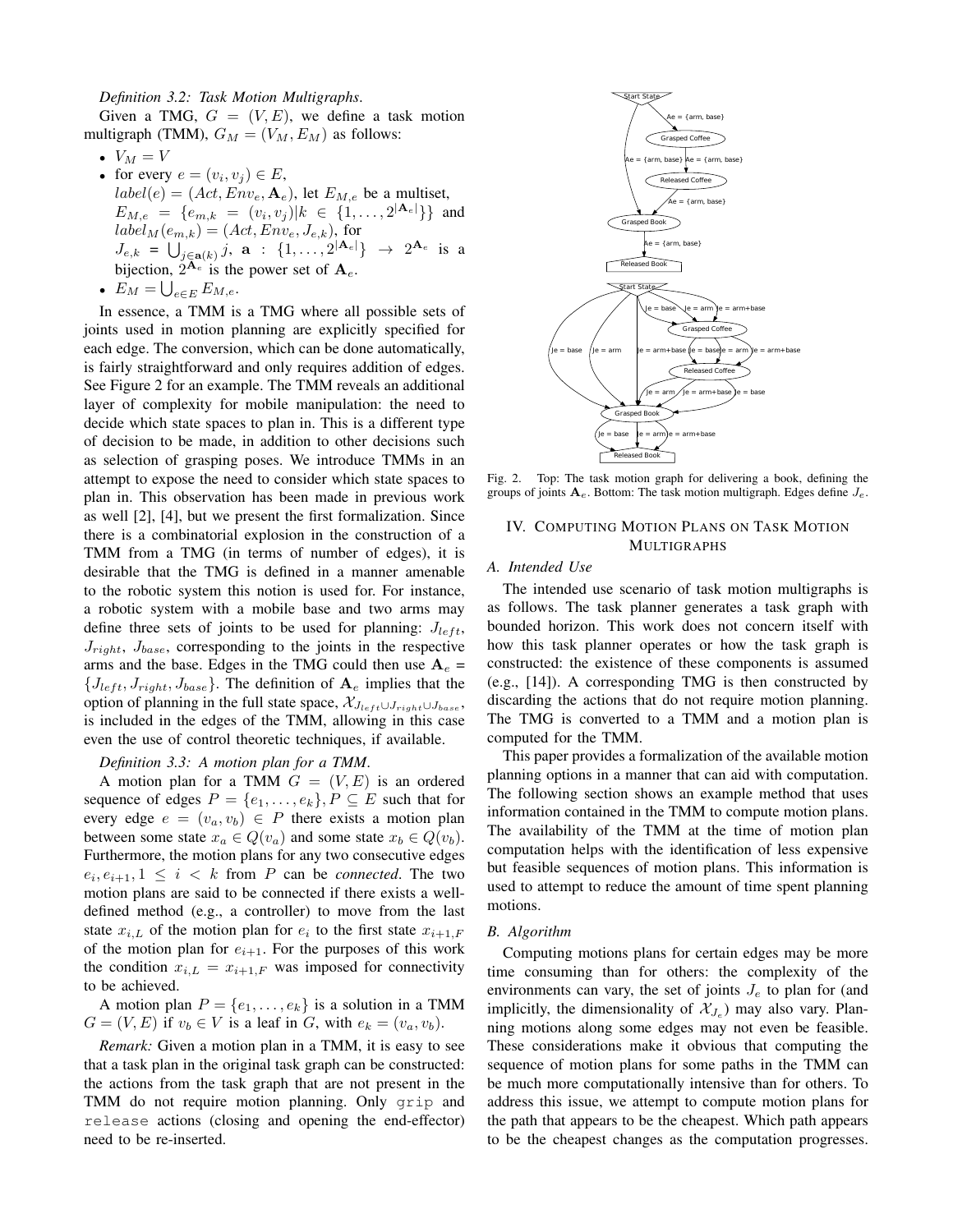#### *Definition 3.2: Task Motion Multigraphs*.

Given a TMG,  $G = (V, E)$ , we define a task motion multigraph (TMM),  $G_M = (V_M, E_M)$  as follows:

- $V_M = V$
- for every  $e = (v_i, v_j) \in E$ ,  $label(e) = (Act, Env_e, \mathbf{A}_e)$ , let  $E_{M,e}$  be a multiset,  $E_{M,e} = \{e_{m,k} = (v_i, v_j) | k \in \{1, \ldots, 2^{|{\bf A}_e|}\}\}\$ and  $label_M(e_{m,k}) = (Act, Env_e, J_{e,k})$ , for  $J_{e,k} = \bigcup_{j \in \mathbf{a}(k)} j, \mathbf{a} : \{1, \ldots, 2^{|\mathbf{A}_e|}\} \rightarrow 2^{\mathbf{A}_e}$  is a bijection,  $2^{\mathbf{A}_e}$  is the power set of  $\mathbf{A}_e$ .
- $E_M = \bigcup_{e \in E} E_{M,e}.$

In essence, a TMM is a TMG where all possible sets of joints used in motion planning are explicitly specified for each edge. The conversion, which can be done automatically, is fairly straightforward and only requires addition of edges. See Figure 2 for an example. The TMM reveals an additional layer of complexity for mobile manipulation: the need to decide which state spaces to plan in. This is a different type of decision to be made, in addition to other decisions such as selection of grasping poses. We introduce TMMs in an attempt to expose the need to consider which state spaces to plan in. This observation has been made in previous work as well [2], [4], but we present the first formalization. Since there is a combinatorial explosion in the construction of a TMM from a TMG (in terms of number of edges), it is desirable that the TMG is defined in a manner amenable to the robotic system this notion is used for. For instance, a robotic system with a mobile base and two arms may define three sets of joints to be used for planning:  $J_{left}$ ,  $J_{right}$ ,  $J_{base}$ , corresponding to the joints in the respective arms and the base. Edges in the TMG could then use  $A_e$  =  ${J_{left, J_{right, J_{right,}}$ ,  $J_{base}}$ . The definition of  $A_e$  implies that the option of planning in the full state space,  $\mathcal{X}_{J_{left} \cup J_{right} \cup J_{base}}$ , is included in the edges of the TMM, allowing in this case even the use of control theoretic techniques, if available.

#### *Definition 3.3: A motion plan for a TMM*.

A motion plan for a TMM  $G = (V, E)$  is an ordered sequence of edges  $P = \{e_1, \ldots, e_k\}, P \subseteq E$  such that for every edge  $e = (v_a, v_b) \in P$  there exists a motion plan between some state  $x_a \in Q(v_a)$  and some state  $x_b \in Q(v_b)$ . Furthermore, the motion plans for any two consecutive edges  $e_i, e_{i+1}, 1 \leq i \leq k$  from P can be *connected*. The two motion plans are said to be connected if there exists a welldefined method (e.g., a controller) to move from the last state  $x_{i,L}$  of the motion plan for  $e_i$  to the first state  $x_{i+1,F}$ of the motion plan for  $e_{i+1}$ . For the purposes of this work the condition  $x_{i,L} = x_{i+1,F}$  was imposed for connectivity to be achieved.

A motion plan  $P = \{e_1, \ldots, e_k\}$  is a solution in a TMM  $G = (V, E)$  if  $v_b \in V$  is a leaf in G, with  $e_k = (v_a, v_b)$ .

*Remark:* Given a motion plan in a TMM, it is easy to see that a task plan in the original task graph can be constructed: the actions from the task graph that are not present in the TMM do not require motion planning. Only grip and release actions (closing and opening the end-effector) need to be re-inserted.



Fig. 2. Top: The task motion graph for delivering a book, defining the groups of joints  $A_e$ . Bottom: The task motion multigraph. Edges define  $J_e$ .

## IV. COMPUTING MOTION PLANS ON TASK MOTION MULTIGRAPHS

#### *A. Intended Use*

The intended use scenario of task motion multigraphs is as follows. The task planner generates a task graph with bounded horizon. This work does not concern itself with how this task planner operates or how the task graph is constructed: the existence of these components is assumed (e.g., [14]). A corresponding TMG is then constructed by discarding the actions that do not require motion planning. The TMG is converted to a TMM and a motion plan is computed for the TMM.

This paper provides a formalization of the available motion planning options in a manner that can aid with computation. The following section shows an example method that uses information contained in the TMM to compute motion plans. The availability of the TMM at the time of motion plan computation helps with the identification of less expensive but feasible sequences of motion plans. This information is used to attempt to reduce the amount of time spent planning motions.

## *B. Algorithm*

Computing motions plans for certain edges may be more time consuming than for others: the complexity of the environments can vary, the set of joints  $J_e$  to plan for (and implicitly, the dimensionality of  $\mathcal{X}_{J_e}$ ) may also vary. Planning motions along some edges may not even be feasible. These considerations make it obvious that computing the sequence of motion plans for some paths in the TMM can be much more computationally intensive than for others. To address this issue, we attempt to compute motion plans for the path that appears to be the cheapest. Which path appears to be the cheapest changes as the computation progresses.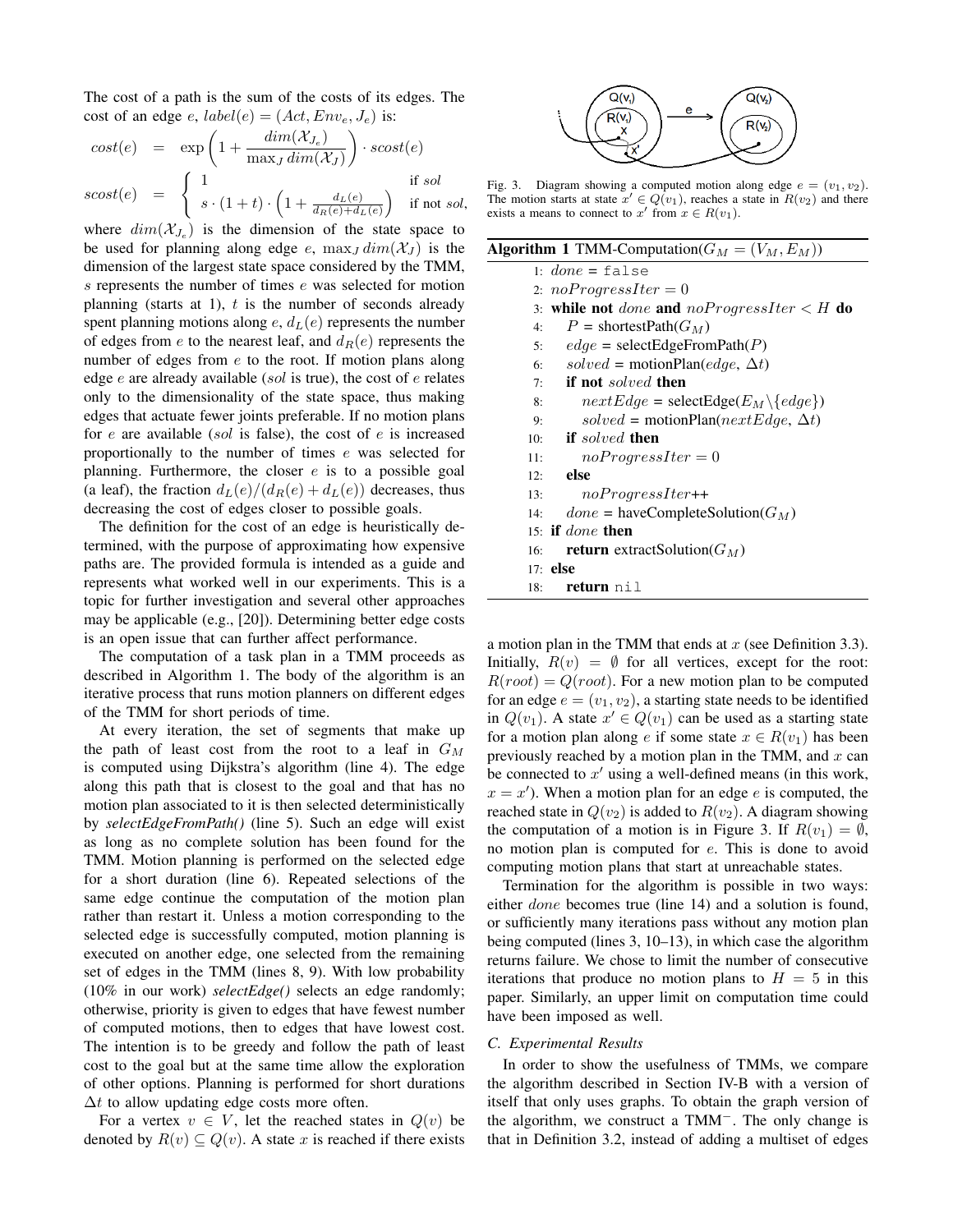The cost of a path is the sum of the costs of its edges. The cost of an edge e,  $label(e) = (Act, Env_e, J_e)$  is:

$$
cost(e) = \exp\left(1 + \frac{dim(\mathcal{X}_{J_e})}{\max_{J} dim(\mathcal{X}_{J})}\right) \cdot scost(e)
$$
  
\n
$$
scost(e) = \begin{cases} 1 & \text{if } sol \\ s \cdot (1+t) \cdot \left(1 + \frac{d_L(e)}{d_R(e) + d_L(e)}\right) & \text{if not } sol. \end{cases}
$$

where  $dim(X_{J_e})$  is the dimension of the state space to be used for planning along edge e,  $\max_J \dim(\mathcal{X}_J)$  is the dimension of the largest state space considered by the TMM, s represents the number of times e was selected for motion planning (starts at 1),  $t$  is the number of seconds already spent planning motions along  $e$ ,  $d<sub>L</sub>(e)$  represents the number of edges from e to the nearest leaf, and  $d_R(e)$  represents the number of edges from e to the root. If motion plans along edge  $e$  are already available (sol is true), the cost of  $e$  relates only to the dimensionality of the state space, thus making edges that actuate fewer joints preferable. If no motion plans for  $e$  are available (sol is false), the cost of  $e$  is increased proportionally to the number of times e was selected for planning. Furthermore, the closer  $e$  is to a possible goal (a leaf), the fraction  $d_L(e)/(d_R(e) + d_L(e))$  decreases, thus decreasing the cost of edges closer to possible goals.

The definition for the cost of an edge is heuristically determined, with the purpose of approximating how expensive paths are. The provided formula is intended as a guide and represents what worked well in our experiments. This is a topic for further investigation and several other approaches may be applicable (e.g., [20]). Determining better edge costs is an open issue that can further affect performance.

The computation of a task plan in a TMM proceeds as described in Algorithm 1. The body of the algorithm is an iterative process that runs motion planners on different edges of the TMM for short periods of time.

At every iteration, the set of segments that make up the path of least cost from the root to a leaf in  $G_M$ is computed using Dijkstra's algorithm (line 4). The edge along this path that is closest to the goal and that has no motion plan associated to it is then selected deterministically by *selectEdgeFromPath()* (line 5). Such an edge will exist as long as no complete solution has been found for the TMM. Motion planning is performed on the selected edge for a short duration (line 6). Repeated selections of the same edge continue the computation of the motion plan rather than restart it. Unless a motion corresponding to the selected edge is successfully computed, motion planning is executed on another edge, one selected from the remaining set of edges in the TMM (lines 8, 9). With low probability (10% in our work) *selectEdge()* selects an edge randomly; otherwise, priority is given to edges that have fewest number of computed motions, then to edges that have lowest cost. The intention is to be greedy and follow the path of least cost to the goal but at the same time allow the exploration of other options. Planning is performed for short durations  $\Delta t$  to allow updating edge costs more often.

For a vertex  $v \in V$ , let the reached states in  $Q(v)$  be denoted by  $R(v) \subseteq Q(v)$ . A state x is reached if there exists



Fig. 3. Diagram showing a computed motion along edge  $e = (v_1, v_2)$ . The motion starts at state  $x' \in Q(v_1)$ , reaches a state in  $R(v_2)$  and there exists a means to connect to  $x'$  from  $x \in R(v_1)$ .

| <b>Algorithm 1</b> TMM-Computation( $G_M = (V_M, E_M)$ ) |                                                 |  |  |  |  |  |
|----------------------------------------------------------|-------------------------------------------------|--|--|--|--|--|
|                                                          | 1: $done = false$                               |  |  |  |  |  |
|                                                          | 2: $no ProgressIter = 0$                        |  |  |  |  |  |
|                                                          | 3: while not done and noProgressIter $\lt H$ do |  |  |  |  |  |
| 4:                                                       | $P =$ shortestPath $(G_M)$                      |  |  |  |  |  |
| 5:                                                       | $edge = \text{selectEdgeFromPath}(P)$           |  |  |  |  |  |
| 6:                                                       | solved = motionPlan(edge, $\Delta t$ )          |  |  |  |  |  |
| 7:                                                       | <b>if</b> not <i>solved</i> then                |  |  |  |  |  |
| 8:                                                       | $nextEdge = selectEdge(E_M \setminus \{edge\})$ |  |  |  |  |  |
|                                                          |                                                 |  |  |  |  |  |

| 9:  | solved = motionPlan( $nextEdge, \Delta t$ ) |
|-----|---------------------------------------------|
| 10: | <b>if</b> solved then                       |
| 11: | $no ProgressIter=0$                         |
| 12: | else                                        |
| 13: | $no ProgressIter++$                         |
| 14: | $done = haveCompleteSolution(G_M)$          |
|     | 15: if <i>done</i> then                     |
| 16: | <b>return</b> extract Solution $(G_M)$      |
|     | $17:$ else                                  |
| 18: | return nil                                  |

a motion plan in the TMM that ends at  $x$  (see Definition 3.3). Initially,  $R(v) = \emptyset$  for all vertices, except for the root:  $R(root) = Q(root)$ . For a new motion plan to be computed for an edge  $e = (v_1, v_2)$ , a starting state needs to be identified in  $Q(v_1)$ . A state  $x' \in Q(v_1)$  can be used as a starting state for a motion plan along e if some state  $x \in R(v_1)$  has been previously reached by a motion plan in the TMM, and  $x$  can be connected to  $x'$  using a well-defined means (in this work,  $x = x'$ ). When a motion plan for an edge e is computed, the reached state in  $Q(v_2)$  is added to  $R(v_2)$ . A diagram showing the computation of a motion is in Figure 3. If  $R(v_1) = \emptyset$ , no motion plan is computed for e. This is done to avoid computing motion plans that start at unreachable states.

Termination for the algorithm is possible in two ways: either done becomes true (line 14) and a solution is found, or sufficiently many iterations pass without any motion plan being computed (lines 3, 10–13), in which case the algorithm returns failure. We chose to limit the number of consecutive iterations that produce no motion plans to  $H = 5$  in this paper. Similarly, an upper limit on computation time could have been imposed as well.

## *C. Experimental Results*

In order to show the usefulness of TMMs, we compare the algorithm described in Section IV-B with a version of itself that only uses graphs. To obtain the graph version of the algorithm, we construct a TMM−. The only change is that in Definition 3.2, instead of adding a multiset of edges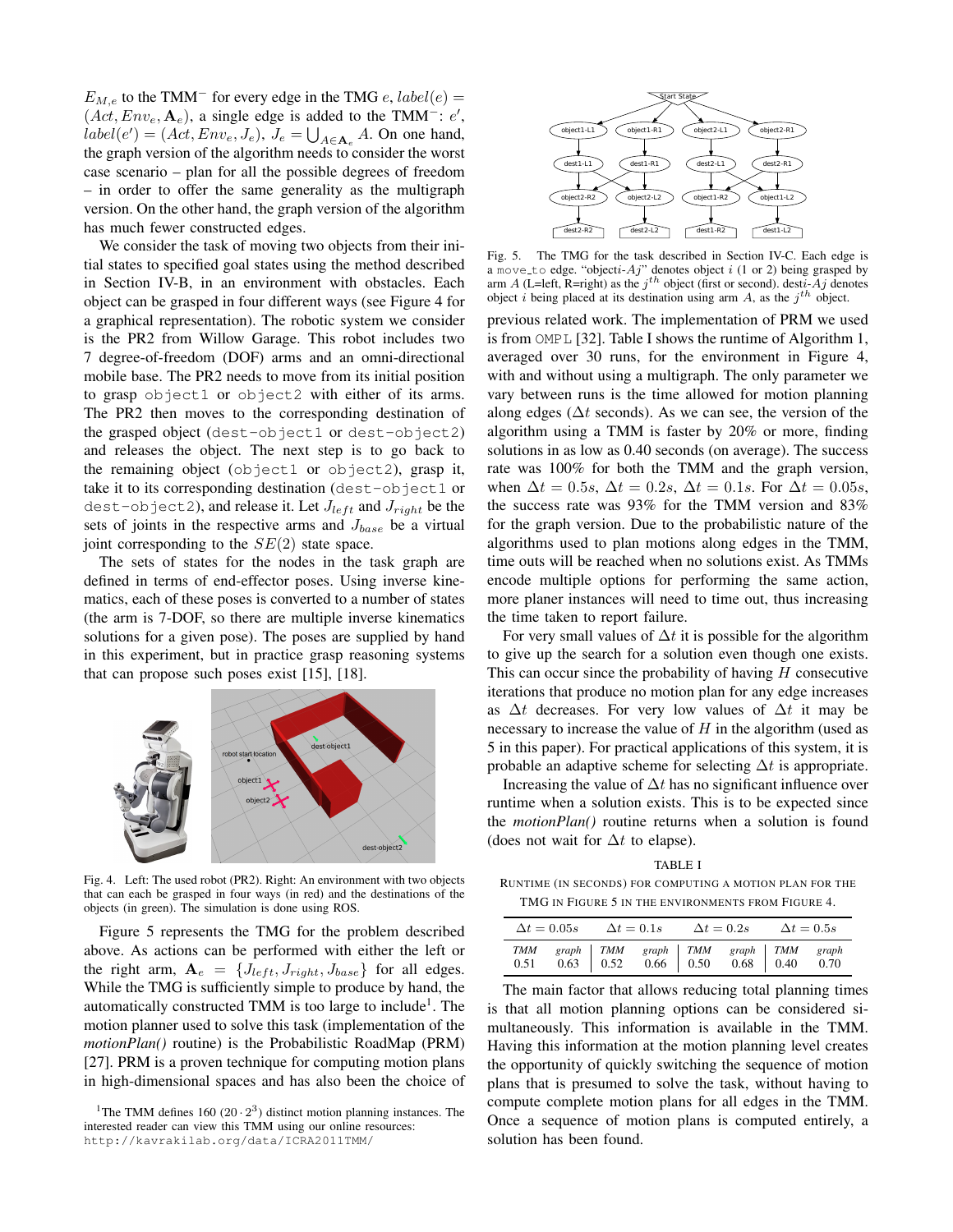$E_{M,e}$  to the TMM<sup>-</sup> for every edge in the TMG e, label(e) =  $(Act, Env_e, \mathbf{A}_e)$ , a single edge is added to the TMM<sup>-</sup>:  $e'$ ,  $label(e') = (Act, Env_e, J_e), J_e = \bigcup_{A \in \mathbf{A}_e} A$ . On one hand, the graph version of the algorithm needs to consider the worst case scenario – plan for all the possible degrees of freedom – in order to offer the same generality as the multigraph version. On the other hand, the graph version of the algorithm has much fewer constructed edges.

We consider the task of moving two objects from their initial states to specified goal states using the method described in Section IV-B, in an environment with obstacles. Each object can be grasped in four different ways (see Figure 4 for a graphical representation). The robotic system we consider is the PR2 from Willow Garage. This robot includes two 7 degree-of-freedom (DOF) arms and an omni-directional mobile base. The PR2 needs to move from its initial position to grasp object1 or object2 with either of its arms. The PR2 then moves to the corresponding destination of the grasped object (dest-object1 or dest-object2) and releases the object. The next step is to go back to the remaining object (object1 or object2), grasp it, take it to its corresponding destination (dest-object1 or dest-object2), and release it. Let  $J_{left}$  and  $J_{right}$  be the sets of joints in the respective arms and  $J_{base}$  be a virtual joint corresponding to the  $SE(2)$  state space.

The sets of states for the nodes in the task graph are defined in terms of end-effector poses. Using inverse kinematics, each of these poses is converted to a number of states (the arm is 7-DOF, so there are multiple inverse kinematics solutions for a given pose). The poses are supplied by hand in this experiment, but in practice grasp reasoning systems that can propose such poses exist [15], [18].



Fig. 4. Left: The used robot (PR2). Right: An environment with two objects that can each be grasped in four ways (in red) and the destinations of the objects (in green). The simulation is done using ROS.

Figure 5 represents the TMG for the problem described above. As actions can be performed with either the left or the right arm,  $A_e = \{J_{left}, J_{right}, J_{base}\}$  for all edges. While the TMG is sufficiently simple to produce by hand, the automatically constructed TMM is too large to include<sup>1</sup>. The motion planner used to solve this task (implementation of the *motionPlan()* routine) is the Probabilistic RoadMap (PRM) [27]. PRM is a proven technique for computing motion plans in high-dimensional spaces and has also been the choice of



Fig. 5. The TMG for the task described in Section IV-C. Each edge is a move\_to edge. "objecti-Aj" denotes object i (1 or 2) being grasped by arm A (L=left, R=right) as the  $j<sup>th</sup>$  object (first or second). desti-Aj denotes object *i* being placed at its destination using arm A, as the  $j<sup>th</sup>$  object.

previous related work. The implementation of PRM we used is from OMPL [32]. Table I shows the runtime of Algorithm 1, averaged over 30 runs, for the environment in Figure 4, with and without using a multigraph. The only parameter we vary between runs is the time allowed for motion planning along edges ( $\Delta t$  seconds). As we can see, the version of the algorithm using a TMM is faster by 20% or more, finding solutions in as low as 0.40 seconds (on average). The success rate was 100% for both the TMM and the graph version, when  $\Delta t = 0.5s$ ,  $\Delta t = 0.2s$ ,  $\Delta t = 0.1s$ . For  $\Delta t = 0.05s$ , the success rate was 93% for the TMM version and 83% for the graph version. Due to the probabilistic nature of the algorithms used to plan motions along edges in the TMM, time outs will be reached when no solutions exist. As TMMs encode multiple options for performing the same action, more planer instances will need to time out, thus increasing the time taken to report failure.

For very small values of  $\Delta t$  it is possible for the algorithm to give up the search for a solution even though one exists. This can occur since the probability of having  $H$  consecutive iterations that produce no motion plan for any edge increases as  $\Delta t$  decreases. For very low values of  $\Delta t$  it may be necessary to increase the value of  $H$  in the algorithm (used as 5 in this paper). For practical applications of this system, it is probable an adaptive scheme for selecting  $\Delta t$  is appropriate.

Increasing the value of  $\Delta t$  has no significant influence over runtime when a solution exists. This is to be expected since the *motionPlan()* routine returns when a solution is found (does not wait for  $\Delta t$  to elapse).

TABLE I

RUNTIME (IN SECONDS) FOR COMPUTING A MOTION PLAN FOR THE TMG IN FIGURE 5 IN THE ENVIRONMENTS FROM FIGURE 4.

|  |                                                                                    |  |  | $\Delta t = 0.05s$ $\Delta t = 0.1s$ $\Delta t = 0.2s$ $\Delta t = 0.5s$ |  |  |  |
|--|------------------------------------------------------------------------------------|--|--|--------------------------------------------------------------------------|--|--|--|
|  | TMM graph TMM graph TMM graph TMM graph<br>0.51 0.63 0.52 0.66 0.50 0.68 0.40 0.70 |  |  |                                                                          |  |  |  |

The main factor that allows reducing total planning times is that all motion planning options can be considered simultaneously. This information is available in the TMM. Having this information at the motion planning level creates the opportunity of quickly switching the sequence of motion plans that is presumed to solve the task, without having to compute complete motion plans for all edges in the TMM. Once a sequence of motion plans is computed entirely, a solution has been found.

<sup>&</sup>lt;sup>1</sup>The TMM defines 160 (20 · 2<sup>3</sup>) distinct motion planning instances. The interested reader can view this TMM using our online resources: http://kavrakilab.org/data/ICRA2011TMM/